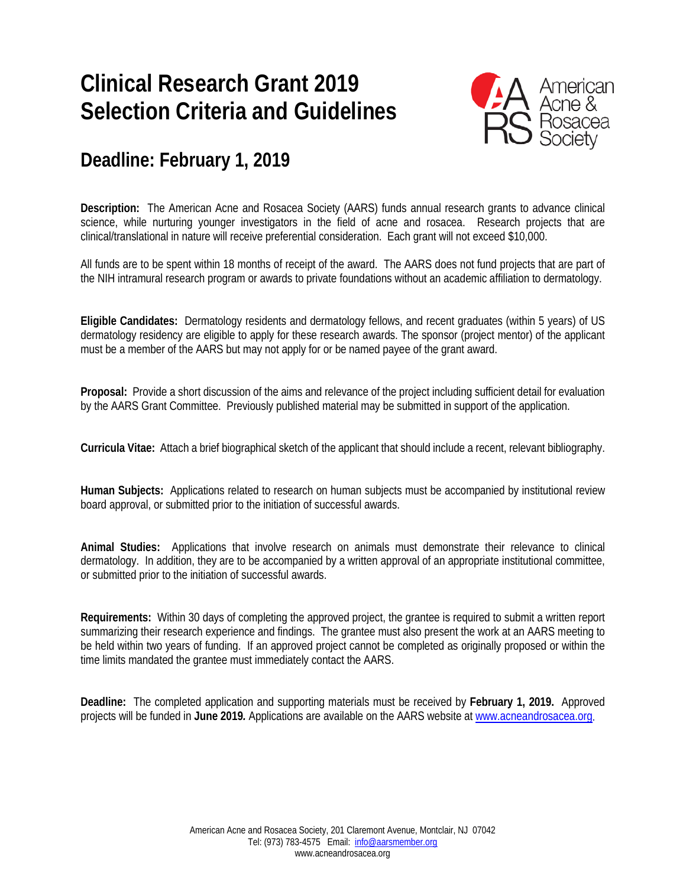## **Clinical Research Grant 2019 Selection Criteria and Guidelines**



### **Deadline: February 1, 2019**

**Description:** The American Acne and Rosacea Society (AARS) funds annual research grants to advance clinical science, while nurturing younger investigators in the field of acne and rosacea. Research projects that are clinical/translational in nature will receive preferential consideration. Each grant will not exceed \$10,000.

All funds are to be spent within 18 months of receipt of the award. The AARS does not fund projects that are part of the NIH intramural research program or awards to private foundations without an academic affiliation to dermatology.

**Eligible Candidates:** Dermatology residents and dermatology fellows, and recent graduates (within 5 years) of US dermatology residency are eligible to apply for these research awards. The sponsor (project mentor) of the applicant must be a member of the AARS but may not apply for or be named payee of the grant award.

**Proposal:** Provide a short discussion of the aims and relevance of the project including sufficient detail for evaluation by the AARS Grant Committee. Previously published material may be submitted in support of the application.

**Curricula Vitae:** Attach a brief biographical sketch of the applicant that should include a recent, relevant bibliography.

**Human Subjects:** Applications related to research on human subjects must be accompanied by institutional review board approval, or submitted prior to the initiation of successful awards.

**Animal Studies:** Applications that involve research on animals must demonstrate their relevance to clinical dermatology. In addition, they are to be accompanied by a written approval of an appropriate institutional committee, or submitted prior to the initiation of successful awards.

**Requirements:** Within 30 days of completing the approved project, the grantee is required to submit a written report summarizing their research experience and findings. The grantee must also present the work at an AARS meeting to be held within two years of funding. If an approved project cannot be completed as originally proposed or within the time limits mandated the grantee must immediately contact the AARS.

**Deadline:** The completed application and supporting materials must be received by **February 1, 2019.** Approved projects will be funded in **June 2019***.* Applications are available on the AARS website a[t www.acneandrosacea.org.](http://www.acneandrosacea.org/)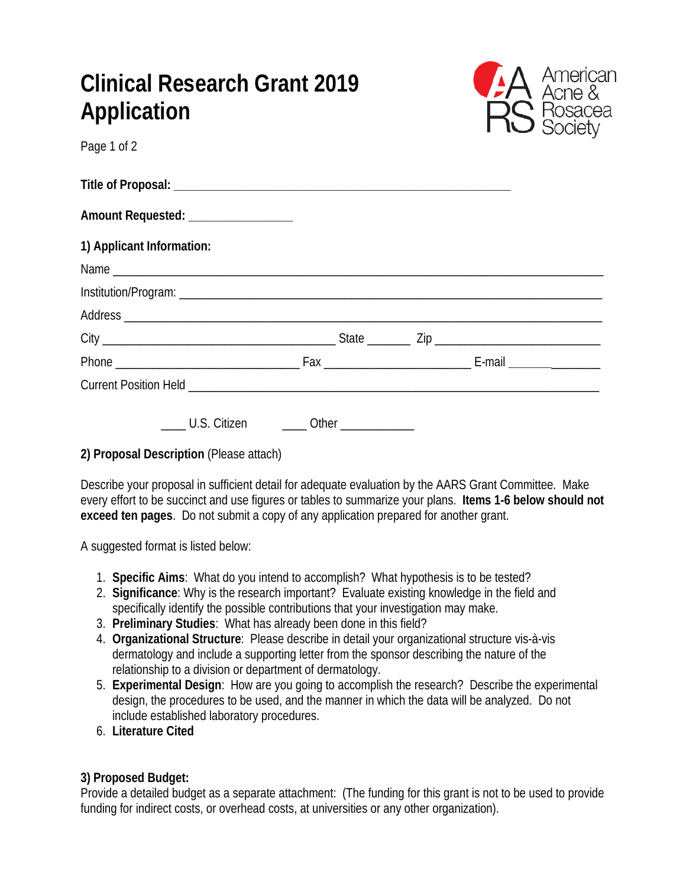| Clinical Research Grant 2019 |  |
|------------------------------|--|
| Application                  |  |
| Page 1 of 2                  |  |



| Amount Requested: ___________________ |  |  |
|---------------------------------------|--|--|
| 1) Applicant Information:             |  |  |
|                                       |  |  |
|                                       |  |  |
|                                       |  |  |
|                                       |  |  |
|                                       |  |  |
|                                       |  |  |
|                                       |  |  |

#### **2) Proposal Description** (Please attach)

Describe your proposal in sufficient detail for adequate evaluation by the AARS Grant Committee. Make every effort to be succinct and use figures or tables to summarize your plans. **Items 1-6 below should not exceed ten pages**. Do not submit a copy of any application prepared for another grant.

A suggested format is listed below:

- 1. **Specific Aims**: What do you intend to accomplish? What hypothesis is to be tested?
- 2. **Significance**: Why is the research important? Evaluate existing knowledge in the field and specifically identify the possible contributions that your investigation may make.
- 3. **Preliminary Studies**: What has already been done in this field?
- 4. **Organizational Structure**: Please describe in detail your organizational structure vis-à-vis dermatology and include a supporting letter from the sponsor describing the nature of the relationship to a division or department of dermatology.
- 5. **Experimental Design**: How are you going to accomplish the research? Describe the experimental design, the procedures to be used, and the manner in which the data will be analyzed. Do not include established laboratory procedures.
- 6. **Literature Cited**

### **3) Proposed Budget:**

Provide a detailed budget as a separate attachment: (The funding for this grant is not to be used to provide funding for indirect costs, or overhead costs, at universities or any other organization).